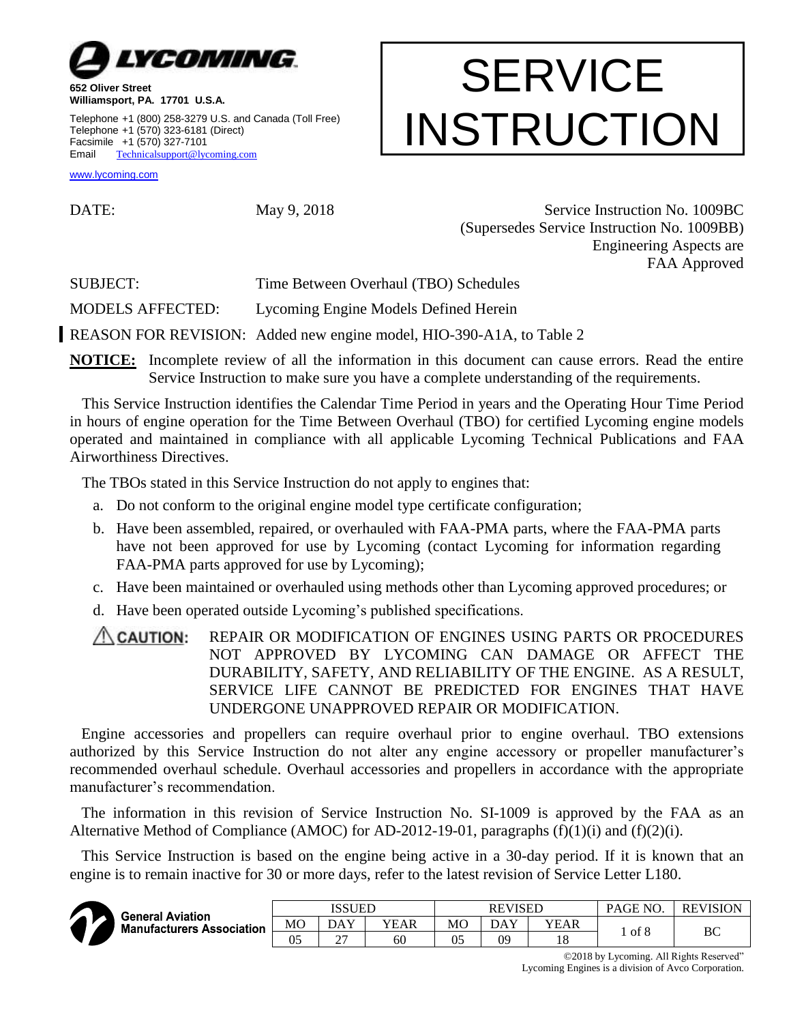

**Williamsport, PA. 17701 U.S.A.** Telephone +1 (800) 258-3279 U.S. and Canada (Toll Free) Telephone +1 (570) 323-6181 (Direct) Facsimile +1 (570) 327-7101 Email [Technicalsupport@lycoming.com](mailto:Technicalsupport@lycoming.com)

#### [www.lycoming.com](http://www.lycoming.com/)

DATE: May 9, 2018 Service Instruction No. 1009BC (Supersedes Service Instruction No. 1009BB) Engineering Aspects are FAA Approved

**SERVICE** 

INSTRUCTION

SUBJECT: Time Between Overhaul (TBO) Schedules

MODELS AFFECTED: Lycoming Engine Models Defined Herein

REASON FOR REVISION: Added new engine model, HIO-390-A1A, to Table 2

**NOTICE:** Incomplete review of all the information in this document can cause errors. Read the entire Service Instruction to make sure you have a complete understanding of the requirements.

This Service Instruction identifies the Calendar Time Period in years and the Operating Hour Time Period in hours of engine operation for the Time Between Overhaul (TBO) for certified Lycoming engine models operated and maintained in compliance with all applicable Lycoming Technical Publications and FAA Airworthiness Directives.

The TBOs stated in this Service Instruction do not apply to engines that:

- a. Do not conform to the original engine model type certificate configuration;
- b. Have been assembled, repaired, or overhauled with FAA-PMA parts, where the FAA-PMA parts have not been approved for use by Lycoming (contact Lycoming for information regarding FAA-PMA parts approved for use by Lycoming);
- c. Have been maintained or overhauled using methods other than Lycoming approved procedures; or
- d. Have been operated outside Lycoming's published specifications.

**CAUTION:** REPAIR OR MODIFICATION OF ENGINES USING PARTS OR PROCEDURES NOT APPROVED BY LYCOMING CAN DAMAGE OR AFFECT THE DURABILITY, SAFETY, AND RELIABILITY OF THE ENGINE. AS A RESULT, SERVICE LIFE CANNOT BE PREDICTED FOR ENGINES THAT HAVE UNDERGONE UNAPPROVED REPAIR OR MODIFICATION.

Engine accessories and propellers can require overhaul prior to engine overhaul. TBO extensions authorized by this Service Instruction do not alter any engine accessory or propeller manufacturer's recommended overhaul schedule. Overhaul accessories and propellers in accordance with the appropriate manufacturer's recommendation.

The information in this revision of Service Instruction No. SI-1009 is approved by the FAA as an Alternative Method of Compliance (AMOC) for AD-2012-19-01, paragraphs (f)(1)(i) and (f)(2)(i).

This Service Instruction is based on the engine being active in a 30-day period. If it is known that an engine is to remain inactive for 30 or more days, refer to the latest revision of Service Letter L180.



| <b>General Aviation</b>          |    | ISSUED      |      |    | <b>REVISED</b> |            | PAGE NO. | <b>REVISION</b> |
|----------------------------------|----|-------------|------|----|----------------|------------|----------|-----------------|
| <b>Manufacturers Association</b> | МO | DAY         | YEAR | МO | DAY            | YEAR       | of 8     |                 |
|                                  | 05 | $\sim$<br>∸ | 60   | 05 | 09             | 1 O<br>1 O |          | ВC              |

©2018 by Lycoming. All Rights Reserved"

Lycoming Engines is a division of Avco Corporation.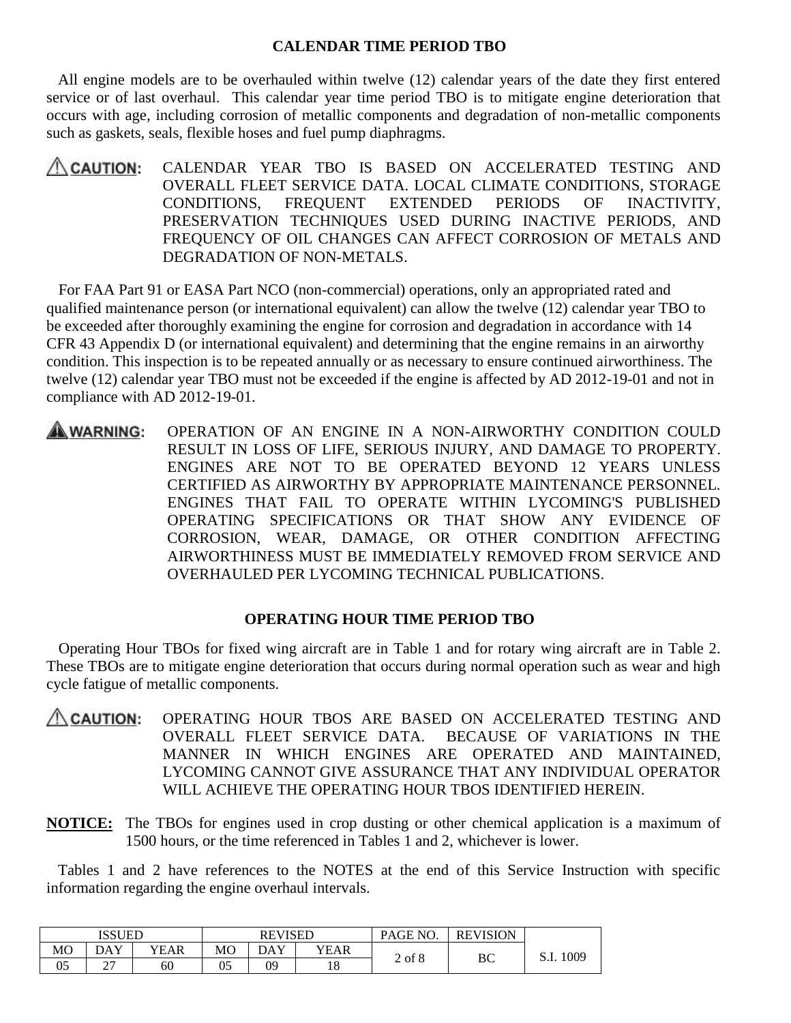### **CALENDAR TIME PERIOD TBO**

All engine models are to be overhauled within twelve (12) calendar years of the date they first entered service or of last overhaul. This calendar year time period TBO is to mitigate engine deterioration that occurs with age, including corrosion of metallic components and degradation of non-metallic components such as gaskets, seals, flexible hoses and fuel pump diaphragms.

CALENDAR YEAR TBO IS BASED ON ACCELERATED TESTING AND  $\triangle$  CAUTION: OVERALL FLEET SERVICE DATA. LOCAL CLIMATE CONDITIONS, STORAGE CONDITIONS, FREQUENT EXTENDED PERIODS OF INACTIVITY, PRESERVATION TECHNIQUES USED DURING INACTIVE PERIODS, AND FREQUENCY OF OIL CHANGES CAN AFFECT CORROSION OF METALS AND DEGRADATION OF NON-METALS.

For FAA Part 91 or EASA Part NCO (non-commercial) operations, only an appropriated rated and qualified maintenance person (or international equivalent) can allow the twelve (12) calendar year TBO to be exceeded after thoroughly examining the engine for corrosion and degradation in accordance with 14 CFR 43 Appendix D (or international equivalent) and determining that the engine remains in an airworthy condition. This inspection is to be repeated annually or as necessary to ensure continued airworthiness. The twelve (12) calendar year TBO must not be exceeded if the engine is affected by AD 2012-19-01 and not in compliance with AD 2012-19-01.

OPERATION OF AN ENGINE IN A NON-AIRWORTHY CONDITION COULD A WARNING: RESULT IN LOSS OF LIFE, SERIOUS INJURY, AND DAMAGE TO PROPERTY. ENGINES ARE NOT TO BE OPERATED BEYOND 12 YEARS UNLESS CERTIFIED AS AIRWORTHY BY APPROPRIATE MAINTENANCE PERSONNEL. ENGINES THAT FAIL TO OPERATE WITHIN LYCOMING'S PUBLISHED OPERATING SPECIFICATIONS OR THAT SHOW ANY EVIDENCE OF CORROSION, WEAR, DAMAGE, OR OTHER CONDITION AFFECTING AIRWORTHINESS MUST BE IMMEDIATELY REMOVED FROM SERVICE AND OVERHAULED PER LYCOMING TECHNICAL PUBLICATIONS.

# **OPERATING HOUR TIME PERIOD TBO**

Operating Hour TBOs for fixed wing aircraft are in Table 1 and for rotary wing aircraft are in Table 2. These TBOs are to mitigate engine deterioration that occurs during normal operation such as wear and high cycle fatigue of metallic components.

- $\triangle$  CAUTION: OPERATING HOUR TBOS ARE BASED ON ACCELERATED TESTING AND OVERALL FLEET SERVICE DATA. BECAUSE OF VARIATIONS IN THE MANNER IN WHICH ENGINES ARE OPERATED AND MAINTAINED, LYCOMING CANNOT GIVE ASSURANCE THAT ANY INDIVIDUAL OPERATOR WILL ACHIEVE THE OPERATING HOUR TBOS IDENTIFIED HEREIN.
- **NOTICE:** The TBOs for engines used in crop dusting or other chemical application is a maximum of 1500 hours, or the time referenced in Tables 1 and 2, whichever is lower.

Tables 1 and 2 have references to the NOTES at the end of this Service Instruction with specific information regarding the engine overhaul intervals.

|    | ISSUED      |      |    | <b>REVISED</b> |      | PAGE NO.   | <b>REVISION</b> |          |
|----|-------------|------|----|----------------|------|------------|-----------------|----------|
| MO | DAY         | YEAR | MO | DAY            | YEAR | $2$ of $8$ |                 | 1009     |
| 05 | $\sim$<br>∼ | 60   | 05 | 09             | 18   |            | ВC              | <u>.</u> |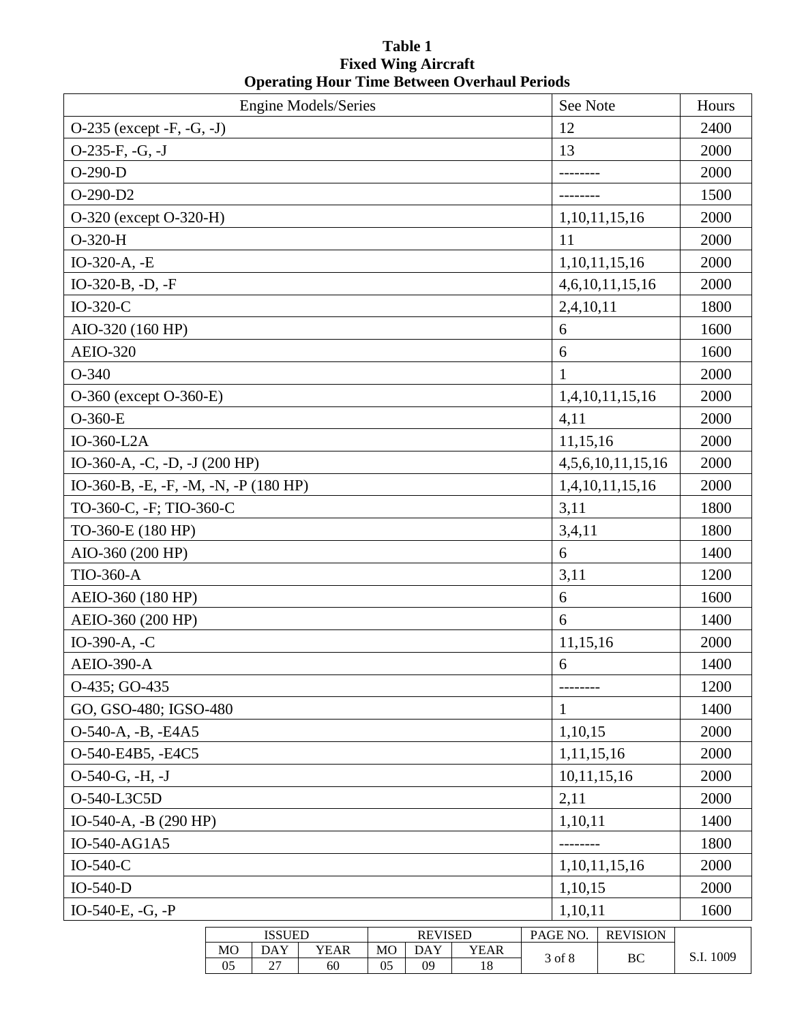# **Table 1 Fixed Wing Aircraft Operating Hour Time Between Overhaul Periods**

| O-235 (except -F, -G, -J)<br>12<br>2400<br>$O-235-F, -G, -J$<br>13<br>2000<br>$O-290-D$<br>2000<br>$O-290-D2$<br>1500<br>O-320 (except O-320-H)<br>1,10,11,15,16<br>2000<br>$O-320-H$<br>11<br>2000<br>IO-320-A, -E<br>1,10,11,15,16<br>2000<br>IO-320-B, -D, -F<br>4,6,10,11,15,16<br>2000<br>$IO-320-C$<br>2,4,10,11<br>1800<br>AIO-320 (160 HP)<br>6<br>1600<br><b>AEIO-320</b><br>6<br>1600<br>$\mathbf{1}$<br>$O-340$<br>2000<br>O-360 (except O-360-E)<br>1,4,10,11,15,16<br>2000<br>$O-360-E$<br>4,11<br>2000<br>IO-360-L2A<br>11,15,16<br>2000<br>IO-360-A, -C, -D, -J (200 HP)<br>4, 5, 6, 10, 11, 15, 16<br>2000<br>IO-360-B, -E, -F, -M, -N, -P (180 HP)<br>1,4,10,11,15,16<br>2000<br>TO-360-C, -F; TIO-360-C<br>3,11<br>1800 |
|-------------------------------------------------------------------------------------------------------------------------------------------------------------------------------------------------------------------------------------------------------------------------------------------------------------------------------------------------------------------------------------------------------------------------------------------------------------------------------------------------------------------------------------------------------------------------------------------------------------------------------------------------------------------------------------------------------------------------------------------|
|                                                                                                                                                                                                                                                                                                                                                                                                                                                                                                                                                                                                                                                                                                                                           |
|                                                                                                                                                                                                                                                                                                                                                                                                                                                                                                                                                                                                                                                                                                                                           |
|                                                                                                                                                                                                                                                                                                                                                                                                                                                                                                                                                                                                                                                                                                                                           |
|                                                                                                                                                                                                                                                                                                                                                                                                                                                                                                                                                                                                                                                                                                                                           |
|                                                                                                                                                                                                                                                                                                                                                                                                                                                                                                                                                                                                                                                                                                                                           |
|                                                                                                                                                                                                                                                                                                                                                                                                                                                                                                                                                                                                                                                                                                                                           |
|                                                                                                                                                                                                                                                                                                                                                                                                                                                                                                                                                                                                                                                                                                                                           |
|                                                                                                                                                                                                                                                                                                                                                                                                                                                                                                                                                                                                                                                                                                                                           |
|                                                                                                                                                                                                                                                                                                                                                                                                                                                                                                                                                                                                                                                                                                                                           |
|                                                                                                                                                                                                                                                                                                                                                                                                                                                                                                                                                                                                                                                                                                                                           |
|                                                                                                                                                                                                                                                                                                                                                                                                                                                                                                                                                                                                                                                                                                                                           |
|                                                                                                                                                                                                                                                                                                                                                                                                                                                                                                                                                                                                                                                                                                                                           |
|                                                                                                                                                                                                                                                                                                                                                                                                                                                                                                                                                                                                                                                                                                                                           |
|                                                                                                                                                                                                                                                                                                                                                                                                                                                                                                                                                                                                                                                                                                                                           |
|                                                                                                                                                                                                                                                                                                                                                                                                                                                                                                                                                                                                                                                                                                                                           |
|                                                                                                                                                                                                                                                                                                                                                                                                                                                                                                                                                                                                                                                                                                                                           |
|                                                                                                                                                                                                                                                                                                                                                                                                                                                                                                                                                                                                                                                                                                                                           |
|                                                                                                                                                                                                                                                                                                                                                                                                                                                                                                                                                                                                                                                                                                                                           |
| TO-360-E (180 HP)<br>1800<br>3,4,11                                                                                                                                                                                                                                                                                                                                                                                                                                                                                                                                                                                                                                                                                                       |
| AIO-360 (200 HP)<br>6<br>1400                                                                                                                                                                                                                                                                                                                                                                                                                                                                                                                                                                                                                                                                                                             |
| <b>TIO-360-A</b><br>3,11<br>1200                                                                                                                                                                                                                                                                                                                                                                                                                                                                                                                                                                                                                                                                                                          |
| AEIO-360 (180 HP)<br>6<br>1600                                                                                                                                                                                                                                                                                                                                                                                                                                                                                                                                                                                                                                                                                                            |
| AEIO-360 (200 HP)<br>6<br>1400                                                                                                                                                                                                                                                                                                                                                                                                                                                                                                                                                                                                                                                                                                            |
| IO-390-A, -C<br>11,15,16<br>2000                                                                                                                                                                                                                                                                                                                                                                                                                                                                                                                                                                                                                                                                                                          |
| <b>AEIO-390-A</b><br>6<br>1400                                                                                                                                                                                                                                                                                                                                                                                                                                                                                                                                                                                                                                                                                                            |
| O-435; GO-435<br>1200                                                                                                                                                                                                                                                                                                                                                                                                                                                                                                                                                                                                                                                                                                                     |
| GO, GSO-480; IGSO-480<br>1400<br>1                                                                                                                                                                                                                                                                                                                                                                                                                                                                                                                                                                                                                                                                                                        |
| O-540-A, -B, -E4A5<br>1,10,15<br>2000                                                                                                                                                                                                                                                                                                                                                                                                                                                                                                                                                                                                                                                                                                     |
| O-540-E4B5, -E4C5<br>1,11,15,16<br>2000                                                                                                                                                                                                                                                                                                                                                                                                                                                                                                                                                                                                                                                                                                   |
| $O-540-G, -H, -J$<br>10,11,15,16<br>2000                                                                                                                                                                                                                                                                                                                                                                                                                                                                                                                                                                                                                                                                                                  |
| O-540-L3C5D<br>2,11<br>2000                                                                                                                                                                                                                                                                                                                                                                                                                                                                                                                                                                                                                                                                                                               |
| IO-540-A, -B (290 HP)<br>1400<br>1,10,11                                                                                                                                                                                                                                                                                                                                                                                                                                                                                                                                                                                                                                                                                                  |
| IO-540-AG1A5<br>1800                                                                                                                                                                                                                                                                                                                                                                                                                                                                                                                                                                                                                                                                                                                      |
| IO-540-C<br>2000<br>1, 10, 11, 15, 16                                                                                                                                                                                                                                                                                                                                                                                                                                                                                                                                                                                                                                                                                                     |
| 1,10,15<br>$IO-540-D$<br>2000                                                                                                                                                                                                                                                                                                                                                                                                                                                                                                                                                                                                                                                                                                             |
| IO-540-E, -G, -P<br>1600<br>1,10,11                                                                                                                                                                                                                                                                                                                                                                                                                                                                                                                                                                                                                                                                                                       |
| <b>ISSUED</b><br><b>REVISED</b><br>PAGE NO.<br><b>REVISION</b>                                                                                                                                                                                                                                                                                                                                                                                                                                                                                                                                                                                                                                                                            |
| <b>YEAR</b><br><b>YEAR</b><br><b>MO</b><br><b>DAY</b><br><b>MO</b><br><b>DAY</b><br>S.I. 1009<br>3 of 8<br>BC<br>05<br>27<br>09<br>05<br>18<br>60                                                                                                                                                                                                                                                                                                                                                                                                                                                                                                                                                                                         |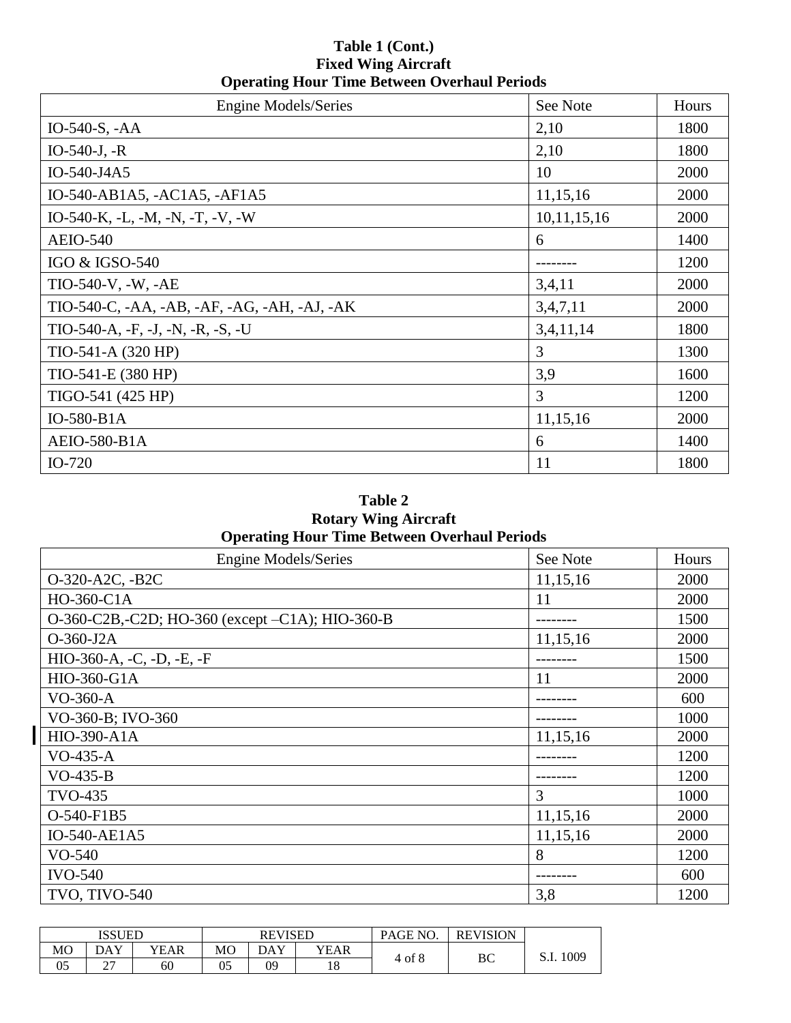# **Table 1 (Cont.) Fixed Wing Aircraft Operating Hour Time Between Overhaul Periods**

| <b>Engine Models/Series</b>                  | See Note    | Hours |
|----------------------------------------------|-------------|-------|
| IO-540-S, $-AA$                              | 2,10        | 1800  |
| $IO-540-J, -R$                               | 2,10        | 1800  |
| IO-540-J4A5                                  | 10          | 2000  |
| IO-540-AB1A5, -AC1A5, -AF1A5                 | 11,15,16    | 2000  |
| IO-540-K, -L, -M, -N, -T, -V, -W             | 10,11,15,16 | 2000  |
| <b>AEIO-540</b>                              | 6           | 1400  |
| IGO & IGSO-540                               |             | 1200  |
| TIO-540-V, -W, -AE                           | 3,4,11      | 2000  |
| TIO-540-C, -AA, -AB, -AF, -AG, -AH, -AJ, -AK | 3,4,7,11    | 2000  |
| $TIO-540-A, -F, -J, -N, -R, -S, -U$          | 3,4,11,14   | 1800  |
| TIO-541-A (320 HP)                           | 3           | 1300  |
| TIO-541-E (380 HP)                           | 3,9         | 1600  |
| TIGO-541 (425 HP)                            | 3           | 1200  |
| IO-580-B1A                                   | 11,15,16    | 2000  |
| <b>AEIO-580-B1A</b>                          | 6           | 1400  |
| IO-720                                       | 11          | 1800  |

# **Table 2 Rotary Wing Aircraft Operating Hour Time Between Overhaul Periods**

| <b>Engine Models/Series</b>                     | See Note | Hours |
|-------------------------------------------------|----------|-------|
| O-320-A2C, -B2C                                 | 11,15,16 | 2000  |
| HO-360-C1A                                      | 11       | 2000  |
| O-360-C2B,-C2D; HO-360 (except -C1A); HIO-360-B |          | 1500  |
| $O-360-J2A$                                     | 11,15,16 | 2000  |
| HIO-360-A, -C, -D, -E, -F                       |          | 1500  |
| HIO-360-G1A                                     | 11       | 2000  |
| $VO-360-A$                                      |          | 600   |
| VO-360-B; IVO-360                               |          | 1000  |
| HIO-390-A1A                                     | 11,15,16 | 2000  |
| $VO-435-A$                                      |          | 1200  |
| $VO-435-B$                                      |          | 1200  |
| <b>TVO-435</b>                                  | 3        | 1000  |
| O-540-F1B5                                      | 11,15,16 | 2000  |
| IO-540-AE1A5                                    | 11,15,16 | 2000  |
| $VO-540$                                        | 8        | 1200  |
| <b>IVO-540</b>                                  |          | 600   |
| <b>TVO, TIVO-540</b>                            | 3,8      | 1200  |

|    | <b>ISSUED</b>      |      |    | <b>REVISED</b> |      | PAGE NO.   | <b>REVISION</b> |      |
|----|--------------------|------|----|----------------|------|------------|-----------------|------|
| MO | DAY                | YEAR | MO | DAY            | YEAR | $4$ of $8$ |                 | 009  |
| 05 | $\sim$<br><u>.</u> | 60   | 05 | 09             | 18   |            | ВC              | Э.I. |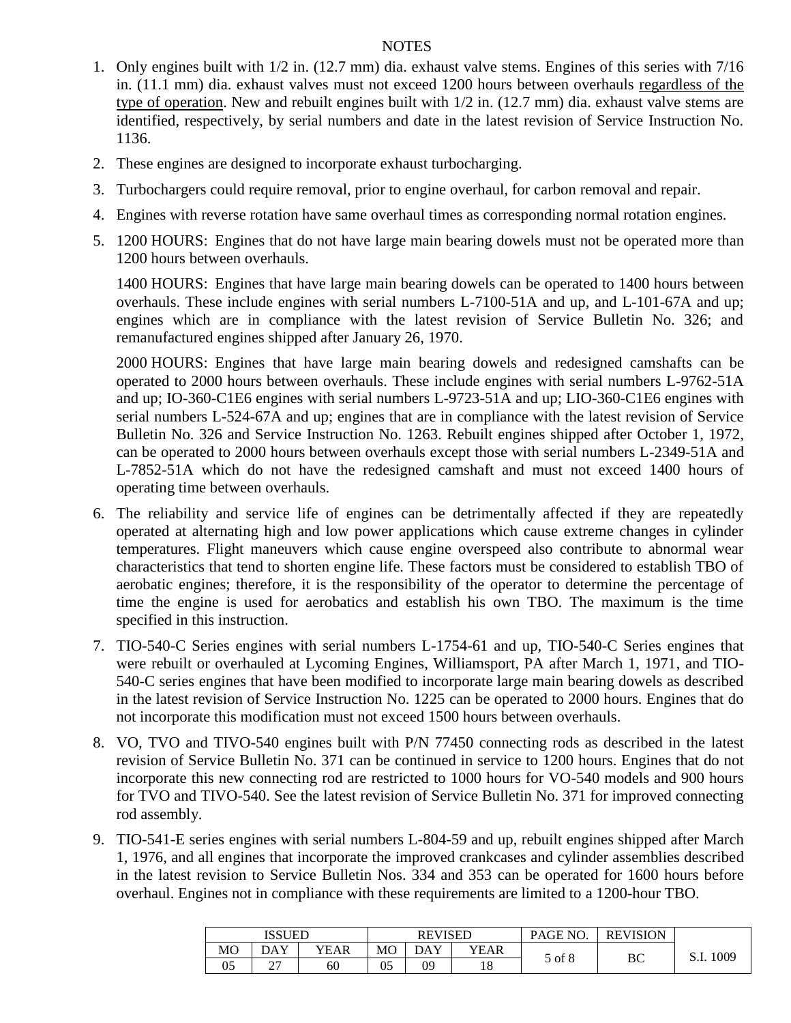### NOTES

- 1. Only engines built with 1/2 in. (12.7 mm) dia. exhaust valve stems. Engines of this series with 7/16 in. (11.1 mm) dia. exhaust valves must not exceed 1200 hours between overhauls regardless of the type of operation. New and rebuilt engines built with 1/2 in. (12.7 mm) dia. exhaust valve stems are identified, respectively, by serial numbers and date in the latest revision of Service Instruction No. 1136.
- 2. These engines are designed to incorporate exhaust turbocharging.
- 3. Turbochargers could require removal, prior to engine overhaul, for carbon removal and repair.
- 4. Engines with reverse rotation have same overhaul times as corresponding normal rotation engines.
- 5. 1200 HOURS: Engines that do not have large main bearing dowels must not be operated more than 1200 hours between overhauls.

1400 HOURS: Engines that have large main bearing dowels can be operated to 1400 hours between overhauls. These include engines with serial numbers L-7100-51A and up, and L-101-67A and up; engines which are in compliance with the latest revision of Service Bulletin No. 326; and remanufactured engines shipped after January 26, 1970.

2000 HOURS: Engines that have large main bearing dowels and redesigned camshafts can be operated to 2000 hours between overhauls. These include engines with serial numbers L-9762-51A and up; IO-360-C1E6 engines with serial numbers L-9723-51A and up; LIO-360-C1E6 engines with serial numbers L-524-67A and up; engines that are in compliance with the latest revision of Service Bulletin No. 326 and Service Instruction No. 1263. Rebuilt engines shipped after October 1, 1972, can be operated to 2000 hours between overhauls except those with serial numbers L-2349-51A and L-7852-51A which do not have the redesigned camshaft and must not exceed 1400 hours of operating time between overhauls.

- 6. The reliability and service life of engines can be detrimentally affected if they are repeatedly operated at alternating high and low power applications which cause extreme changes in cylinder temperatures. Flight maneuvers which cause engine overspeed also contribute to abnormal wear characteristics that tend to shorten engine life. These factors must be considered to establish TBO of aerobatic engines; therefore, it is the responsibility of the operator to determine the percentage of time the engine is used for aerobatics and establish his own TBO. The maximum is the time specified in this instruction.
- 7. TIO-540-C Series engines with serial numbers L-1754-61 and up, TIO-540-C Series engines that were rebuilt or overhauled at Lycoming Engines, Williamsport, PA after March 1, 1971, and TIO-540-C series engines that have been modified to incorporate large main bearing dowels as described in the latest revision of Service Instruction No. 1225 can be operated to 2000 hours. Engines that do not incorporate this modification must not exceed 1500 hours between overhauls.
- 8. VO, TVO and TIVO-540 engines built with P/N 77450 connecting rods as described in the latest revision of Service Bulletin No. 371 can be continued in service to 1200 hours. Engines that do not incorporate this new connecting rod are restricted to 1000 hours for VO-540 models and 900 hours for TVO and TIVO-540. See the latest revision of Service Bulletin No. 371 for improved connecting rod assembly.
- 9. TIO-541-E series engines with serial numbers L-804-59 and up, rebuilt engines shipped after March 1, 1976, and all engines that incorporate the improved crankcases and cylinder assemblies described in the latest revision to Service Bulletin Nos. 334 and 353 can be operated for 1600 hours before overhaul. Engines not in compliance with these requirements are limited to a 1200-hour TBO.

|    | ISSUED             |      |    | <b>REVISED</b> |      | PAGE NO. | <b>REVISION</b> |      |
|----|--------------------|------|----|----------------|------|----------|-----------------|------|
| МO | DAY                | YEAR | МO | DAY            | YEAR | 5 of 8   |                 | 1009 |
| 05 | $\sim$<br><u>.</u> | 60   | 05 | 09             | 18   |          | ВC              |      |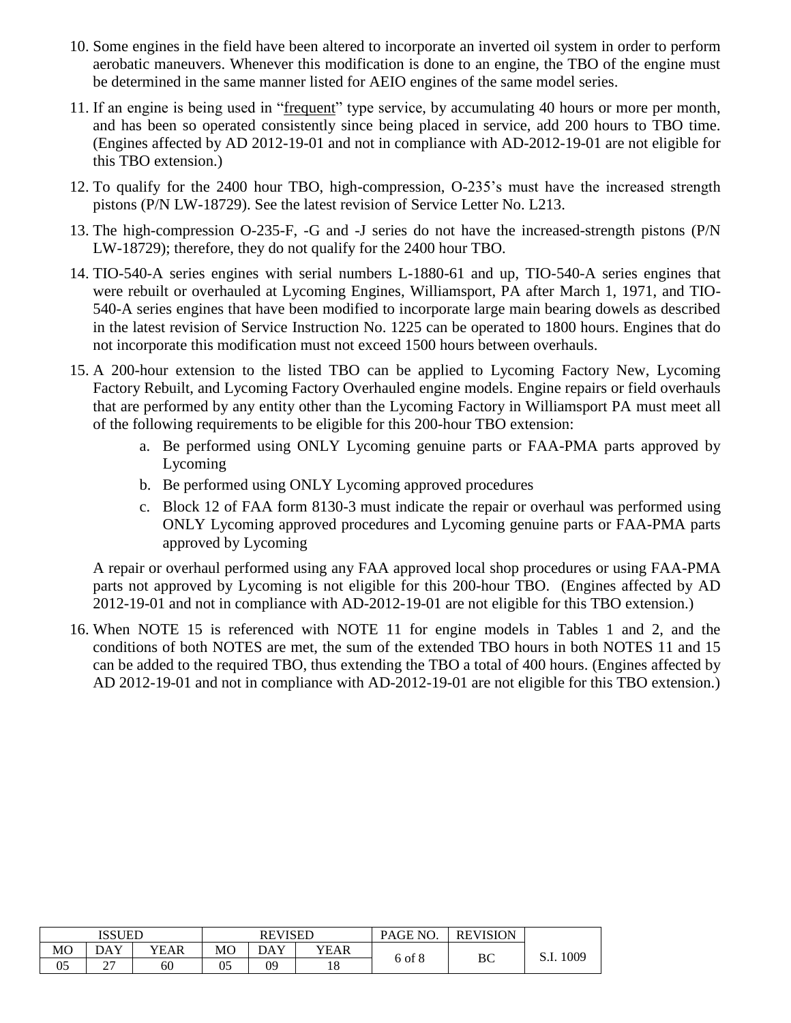- 10. Some engines in the field have been altered to incorporate an inverted oil system in order to perform aerobatic maneuvers. Whenever this modification is done to an engine, the TBO of the engine must be determined in the same manner listed for AEIO engines of the same model series.
- 11. If an engine is being used in "frequent" type service, by accumulating 40 hours or more per month, and has been so operated consistently since being placed in service, add 200 hours to TBO time. (Engines affected by AD 2012-19-01 and not in compliance with AD-2012-19-01 are not eligible for this TBO extension.)
- 12. To qualify for the 2400 hour TBO, high-compression, O-235's must have the increased strength pistons (P/N LW-18729). See the latest revision of Service Letter No. L213.
- 13. The high-compression O-235-F, -G and -J series do not have the increased-strength pistons (P/N LW-18729); therefore, they do not qualify for the 2400 hour TBO.
- 14. TIO-540-A series engines with serial numbers L-1880-61 and up, TIO-540-A series engines that were rebuilt or overhauled at Lycoming Engines, Williamsport, PA after March 1, 1971, and TIO-540-A series engines that have been modified to incorporate large main bearing dowels as described in the latest revision of Service Instruction No. 1225 can be operated to 1800 hours. Engines that do not incorporate this modification must not exceed 1500 hours between overhauls.
- 15. A 200-hour extension to the listed TBO can be applied to Lycoming Factory New, Lycoming Factory Rebuilt, and Lycoming Factory Overhauled engine models. Engine repairs or field overhauls that are performed by any entity other than the Lycoming Factory in Williamsport PA must meet all of the following requirements to be eligible for this 200-hour TBO extension:
	- a. Be performed using ONLY Lycoming genuine parts or FAA-PMA parts approved by Lycoming
	- b. Be performed using ONLY Lycoming approved procedures
	- c. Block 12 of FAA form 8130-3 must indicate the repair or overhaul was performed using ONLY Lycoming approved procedures and Lycoming genuine parts or FAA-PMA parts approved by Lycoming

A repair or overhaul performed using any FAA approved local shop procedures or using FAA-PMA parts not approved by Lycoming is not eligible for this 200-hour TBO. (Engines affected by AD 2012-19-01 and not in compliance with AD-2012-19-01 are not eligible for this TBO extension.)

16. When NOTE 15 is referenced with NOTE 11 for engine models in Tables 1 and 2, and the conditions of both NOTES are met, the sum of the extended TBO hours in both NOTES 11 and 15 can be added to the required TBO, thus extending the TBO a total of 400 hours. (Engines affected by AD 2012-19-01 and not in compliance with AD-2012-19-01 are not eligible for this TBO extension.)

|    |          | <b>ISSUED</b><br><b>REVISED</b> |                |     |      | PAGE NO. | <b>REVISION</b> |           |
|----|----------|---------------------------------|----------------|-----|------|----------|-----------------|-----------|
| MO | DAY      | YEAR                            | M <sub>O</sub> | DAY | YEAR | 6 of 8   | ВC              | S.I. 1009 |
| 05 | ^~<br>∠. | 60                              | 05             | 09  | 10   |          |                 |           |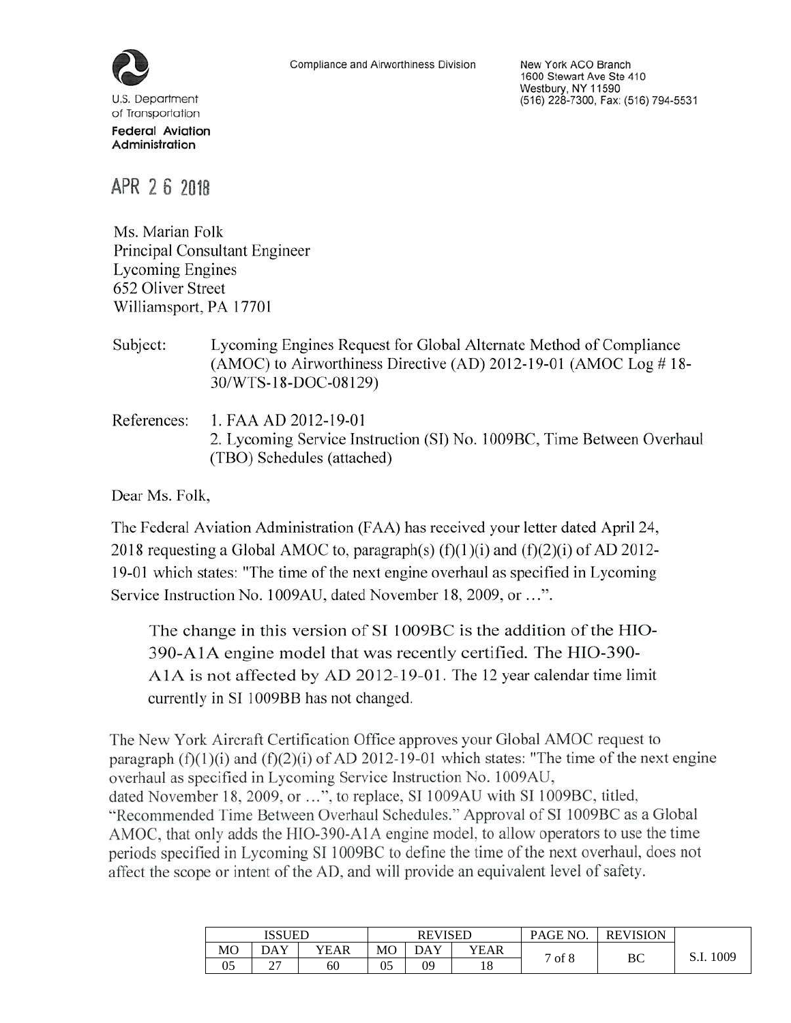

J.S. Department of Transportation **Federal Aviation** Administration

New York ACO Branch 1600 Stewart Ave Ste 410 Westbury, NY 11590 (516) 228-7300, Fax: (516) 794-5531

APR 26 2018

Ms. Marian Folk Principal Consultant Engineer **Lycoming Engines** 652 Oliver Street Williamsport, PA 17701

Subject: Lycoming Engines Request for Global Alternate Method of Compliance (AMOC) to Airworthiness Directive (AD) 2012-19-01 (AMOC Log #18-30/WTS-18-DOC-08129)

References: 1. FAA AD 2012-19-01 2. Lycoming Service Instruction (SI) No. 1009BC, Time Between Overhaul (TBO) Schedules (attached)

Dear Ms. Folk,

The Federal Aviation Administration (FAA) has received your letter dated April 24, 2018 requesting a Global AMOC to, paragraph(s)  $(f)(1)(i)$  and  $(f)(2)(i)$  of AD 2012-19-01 which states: "The time of the next engine overhaul as specified in Lycoming Service Instruction No. 1009AU, dated November 18, 2009, or ...".

The change in this version of SI 1009BC is the addition of the HIO-390-A1A engine model that was recently certified. The HIO-390-A1A is not affected by AD 2012-19-01. The 12 year calendar time limit currently in SI 1009BB has not changed.

The New York Aircraft Certification Office approves your Global AMOC request to paragraph  $(f)(1)(i)$  and  $(f)(2)(i)$  of AD 2012-19-01 which states: "The time of the next engine overhaul as specified in Lycoming Service Instruction No. 1009AU, dated November 18, 2009, or ...", to replace, SI 1009AU with SI 1009BC, titled, "Recommended Time Between Overhaul Schedules." Approval of SI 1009BC as a Global AMOC, that only adds the HIO-390-A1A engine model, to allow operators to use the time periods specified in Lycoming SI 1009BC to define the time of the next overhaul, does not affect the scope or intent of the AD, and will provide an equivalent level of safety.

|    | ISSUED   | PAGE NO.<br><b>REVISED</b> |    |     |      | <b>REVISION</b> |    |          |
|----|----------|----------------------------|----|-----|------|-----------------|----|----------|
| МO | DAY      | YEAR                       | MO | DAY | YEAR | of 8<br>−       |    | 1009     |
| 05 | ^7<br>Δ. | 60                         | 05 | 09  | 10   |                 | ВC | <u>.</u> |